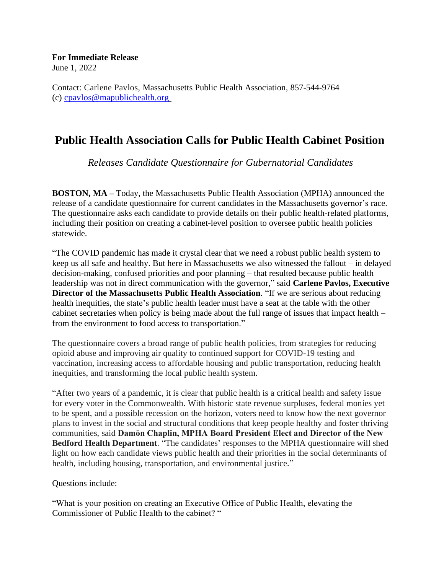## **For Immediate Release**

June 1, 2022

Contact: Carlene Pavlos, Massachusetts Public Health Association, 857-544-9764 (c) [cpavlos@mapublichealth.org](mailto:cpavlos@mapublichealth.org)

## **Public Health Association Calls for Public Health Cabinet Position**

*Releases Candidate Questionnaire for Gubernatorial Candidates*

**BOSTON, MA –** Today, the Massachusetts Public Health Association (MPHA) announced the release of a candidate questionnaire for current candidates in the Massachusetts governor's race. The questionnaire asks each candidate to provide details on their public health-related platforms, including their position on creating a cabinet-level position to oversee public health policies statewide.

"The COVID pandemic has made it crystal clear that we need a robust public health system to keep us all safe and healthy. But here in Massachusetts we also witnessed the fallout – in delayed decision-making, confused priorities and poor planning – that resulted because public health leadership was not in direct communication with the governor," said **Carlene Pavlos, Executive Director of the Massachusetts Public Health Association**. "If we are serious about reducing health inequities, the state's public health leader must have a seat at the table with the other cabinet secretaries when policy is being made about the full range of issues that impact health – from the environment to food access to transportation."

The questionnaire covers a broad range of public health policies, from strategies for reducing opioid abuse and improving air quality to continued support for COVID-19 testing and vaccination, increasing access to affordable housing and public transportation, reducing health inequities, and transforming the local public health system.

"After two years of a pandemic, it is clear that public health is a critical health and safety issue for every voter in the Commonwealth. With historic state revenue surpluses, federal monies yet to be spent, and a possible recession on the horizon, voters need to know how the next governor plans to invest in the social and structural conditions that keep people healthy and foster thriving communities, said **Damōn Chaplin, MPHA Board President Elect and Director of the New Bedford Health Department**. "The candidates' responses to the MPHA questionnaire will shed light on how each candidate views public health and their priorities in the social determinants of health, including housing, transportation, and environmental justice."

## Questions include:

"What is your position on creating an Executive Office of Public Health, elevating the Commissioner of Public Health to the cabinet? "